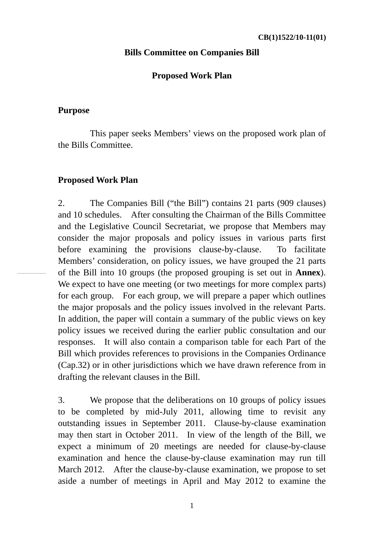### **Bills Committee on Companies Bill**

### **Proposed Work Plan**

#### **Purpose**

 This paper seeks Members' views on the proposed work plan of the Bills Committee.

#### **Proposed Work Plan**

2. The Companies Bill ("the Bill") contains 21 parts (909 clauses) and 10 schedules. After consulting the Chairman of the Bills Committee and the Legislative Council Secretariat, we propose that Members may consider the major proposals and policy issues in various parts first before examining the provisions clause-by-clause. To facilitate Members' consideration, on policy issues, we have grouped the 21 parts of the Bill into 10 groups (the proposed grouping is set out in **Annex**). We expect to have one meeting (or two meetings for more complex parts) for each group. For each group, we will prepare a paper which outlines the major proposals and the policy issues involved in the relevant Parts. In addition, the paper will contain a summary of the public views on key policy issues we received during the earlier public consultation and our responses. It will also contain a comparison table for each Part of the Bill which provides references to provisions in the Companies Ordinance (Cap.32) or in other jurisdictions which we have drawn reference from in drafting the relevant clauses in the Bill.

3. We propose that the deliberations on 10 groups of policy issues to be completed by mid-July 2011, allowing time to revisit any outstanding issues in September 2011. Clause-by-clause examination may then start in October 2011. In view of the length of the Bill, we expect a minimum of 20 meetings are needed for clause-by-clause examination and hence the clause-by-clause examination may run till March 2012. After the clause-by-clause examination, we propose to set aside a number of meetings in April and May 2012 to examine the

1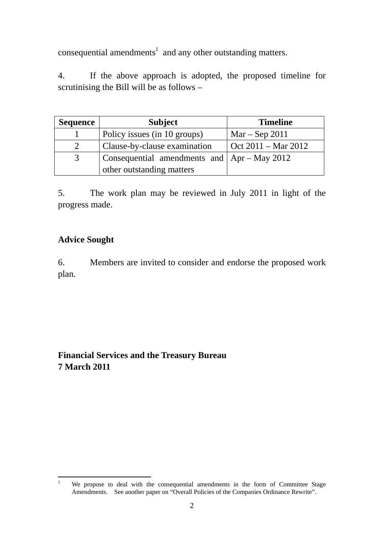consequential amendments<sup>1</sup> and any other outstanding matters.

4. If the above approach is adopted, the proposed timeline for scrutinising the Bill will be as follows –

| <b>Sequence</b> | <b>Subject</b>                                  | <b>Timeline</b>       |
|-----------------|-------------------------------------------------|-----------------------|
|                 | Policy issues (in 10 groups)                    | $Mar - Sep 2011$      |
|                 | Clause-by-clause examination                    | $Oct 2011 - Mar 2012$ |
| 3               | Consequential amendments and $ $ Apr – May 2012 |                       |
|                 | other outstanding matters                       |                       |

5. The work plan may be reviewed in July 2011 in light of the progress made.

## **Advice Sought**

6. Members are invited to consider and endorse the proposed work plan.

# **Financial Services and the Treasury Bureau 7 March 2011**

 $\frac{1}{1}$  We propose to deal with the consequential amendments in the form of Committee Stage Amendments. See another paper on "Overall Policies of the Companies Ordinance Rewrite".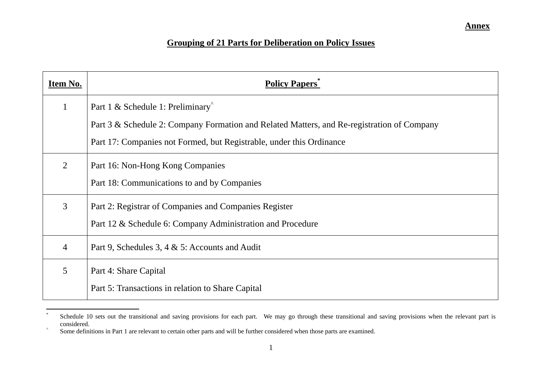# **Grouping of 21 Parts for Deliberation on Policy Issues**

| <u>Item No.</u> | <b>Policy Papers</b>                                                                       |
|-----------------|--------------------------------------------------------------------------------------------|
| $\mathbf{1}$    | Part 1 & Schedule 1: Preliminary                                                           |
|                 | Part 3 & Schedule 2: Company Formation and Related Matters, and Re-registration of Company |
|                 | Part 17: Companies not Formed, but Registrable, under this Ordinance                       |
| 2               | Part 16: Non-Hong Kong Companies                                                           |
|                 | Part 18: Communications to and by Companies                                                |
| 3               | Part 2: Registrar of Companies and Companies Register                                      |
|                 | Part 12 & Schedule 6: Company Administration and Procedure                                 |
| $\overline{4}$  | Part 9, Schedules 3, 4 $\&$ 5: Accounts and Audit                                          |
| 5               | Part 4: Share Capital                                                                      |
|                 | Part 5: Transactions in relation to Share Capital                                          |

Schedule 10 sets out the transitional and saving provisions for each part. We may go through these transitional and saving provisions when the relevant part is considered.

<sup>&</sup>lt;sup>^</sup> Some definitions in Part 1 are relevant to certain other parts and will be further considered when those parts are examined.